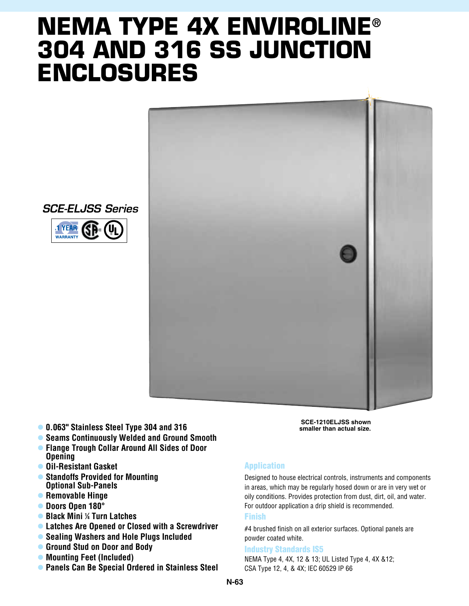## **NEMA TYPE 4X enviroline® 304 and 316 SS Junction Enclosures**



*SCE-ELJSS Series*



- l **0.063" Stainless Steel Type 304 and 316**
- **Seams Continuously Welded and Ground Smooth**
- **Flange Trough Collar Around All Sides of Door Opening**
- **Oil-Resistant Gasket**
- l **Standoffs Provided for Mounting Optional Sub-Panels**
- **Removable Hinge**
- l **Doors Open 180°**
- l **Black Mini 1 ⁄4 Turn Latches**
- **Latches Are Opened or Closed with a Screwdriver**
- **Sealing Washers and Hole Plugs Included**
- l **Ground Stud on Door and Body**
- Mounting Feet (Included)
- **Panels Can Be Special Ordered in Stainless Steel**

**SCE-1210ELJSS shown smaller than actual size.**

## Application

Designed to house electrical controls, instruments and components in areas, which may be regularly hosed down or are in very wet or oily conditions. Provides protection from dust, dirt, oil, and water. For outdoor application a drip shield is recommended.

## Finish

#4 brushed finish on all exterior surfaces. Optional panels are powder coated white.

## Industry Standards IS5

NEMA Type 4, 4X, 12 & 13; UL Listed Type 4, 4X &12; CSA Type 12, 4, & 4X; IEC 60529 IP 66